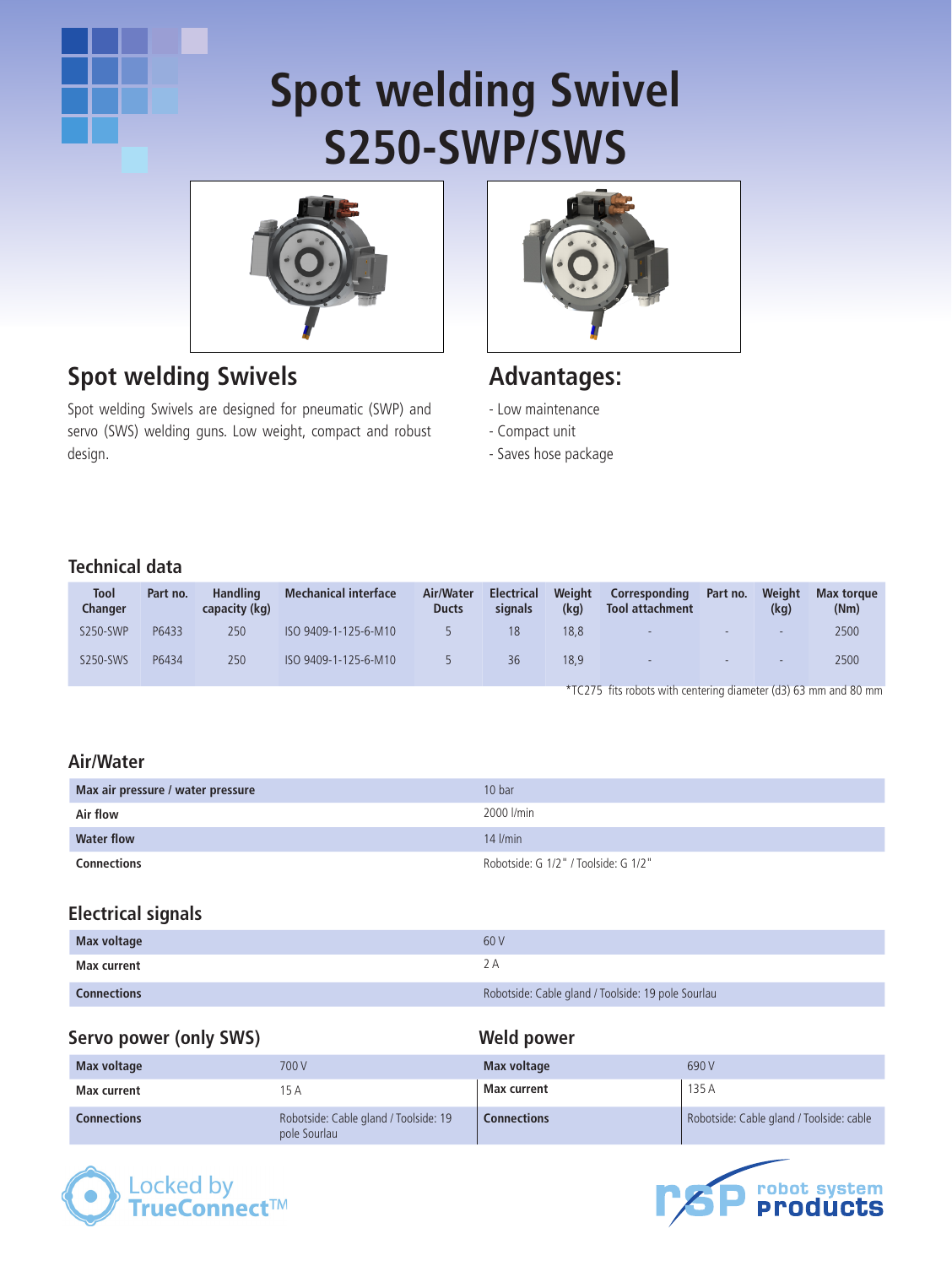# **Spot welding Swivel S250-SWP/SWS**



## **Spot welding Swivels**

Spot welding Swivels are designed for pneumatic (SWP) and servo (SWS) welding guns. Low weight, compact and robust design.



### **Advantages:**

- Low maintenance
- Compact unit
- Saves hose package

#### **Technical data**

| Tool<br><b>Changer</b> | Part no. | <b>Handling</b><br>capacity (kg) | <b>Mechanical interface</b> | Air/Water<br><b>Ducts</b> | <b>Electrical</b><br>signals | Weight<br>(kg) | Corresponding<br>Tool attachment | Part no.    | Weight<br>(kg) | Max torque<br>(Nm) |
|------------------------|----------|----------------------------------|-----------------------------|---------------------------|------------------------------|----------------|----------------------------------|-------------|----------------|--------------------|
| S250-SWP               | P6433    | 250                              | ISO 9409-1-125-6-M10        |                           | 18                           | 18.8           | $\sim$                           | ۰.          | $\sim$         | 2500               |
| S250-SWS               | P6434    | 250                              | ISO 9409-1-125-6-M10        |                           | 36                           | 18.9           | <b>COL</b>                       | the control | $\sim$         | 2500               |
|                        |          |                                  |                             |                           |                              |                |                                  |             |                |                    |

\*TC275 fits robots with centering diameter (d3) 63 mm and 80 mm

#### **Air/Water**

| Max air pressure / water pressure | 10 bar                               |  |  |
|-----------------------------------|--------------------------------------|--|--|
| Air flow                          | 2000 l/min                           |  |  |
| <b>Water flow</b>                 | $14$ $l/min$                         |  |  |
| Connections                       | Robotside: G 1/2" / Toolside: G 1/2" |  |  |

#### **Electrical signals**

| Max voltage        | 60 V                                               |
|--------------------|----------------------------------------------------|
| Max current        | 2 A                                                |
| <b>Connections</b> | Robotside: Cable gland / Toolside: 19 pole Sourlau |

#### **Servo power (only SWS)**

#### **Weld power**

| Max voltage        | 700 V                                                 | Max voltage        | 690 V                                    |
|--------------------|-------------------------------------------------------|--------------------|------------------------------------------|
| Max current        | 15 A                                                  | Max current        | 135 A                                    |
| <b>Connections</b> | Robotside: Cable gland / Toolside: 19<br>pole Sourlau | <b>Connections</b> | Robotside: Cable gland / Toolside: cable |